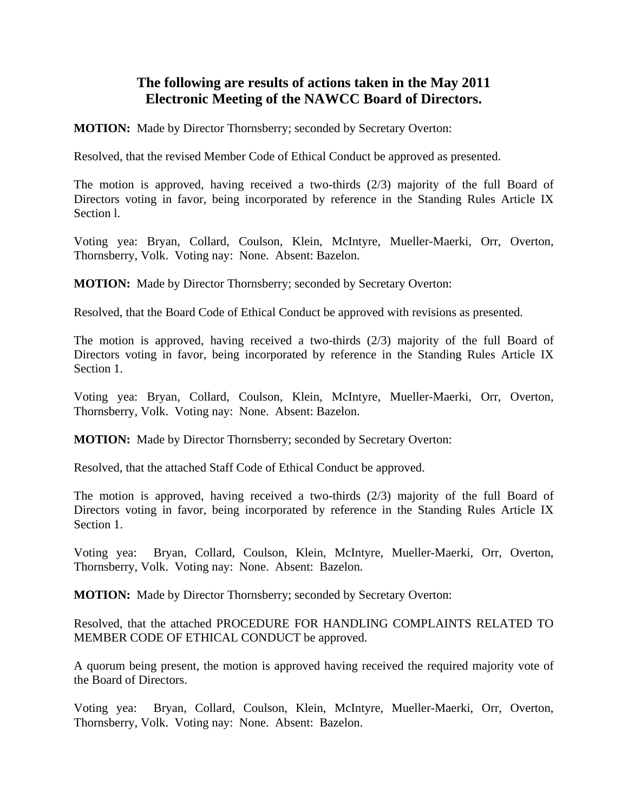## **The following are results of actions taken in the May 2011 Electronic Meeting of the NAWCC Board of Directors.**

**MOTION:** Made by Director Thornsberry; seconded by Secretary Overton:

Resolved, that the revised Member Code of Ethical Conduct be approved as presented.

The motion is approved, having received a two-thirds (2/3) majority of the full Board of Directors voting in favor, being incorporated by reference in the Standing Rules Article IX Section l.

Voting yea: Bryan, Collard, Coulson, Klein, McIntyre, Mueller-Maerki, Orr, Overton, Thornsberry, Volk. Voting nay: None. Absent: Bazelon.

**MOTION:** Made by Director Thornsberry; seconded by Secretary Overton:

Resolved, that the Board Code of Ethical Conduct be approved with revisions as presented.

The motion is approved, having received a two-thirds  $(2/3)$  majority of the full Board of Directors voting in favor, being incorporated by reference in the Standing Rules Article IX Section 1.

Voting yea: Bryan, Collard, Coulson, Klein, McIntyre, Mueller-Maerki, Orr, Overton, Thornsberry, Volk. Voting nay: None. Absent: Bazelon.

**MOTION:** Made by Director Thornsberry; seconded by Secretary Overton:

Resolved, that the attached Staff Code of Ethical Conduct be approved.

The motion is approved, having received a two-thirds (2/3) majority of the full Board of Directors voting in favor, being incorporated by reference in the Standing Rules Article IX Section 1.

Voting yea: Bryan, Collard, Coulson, Klein, McIntyre, Mueller-Maerki, Orr, Overton, Thornsberry, Volk. Voting nay: None. Absent: Bazelon.

**MOTION:** Made by Director Thornsberry; seconded by Secretary Overton:

Resolved, that the attached PROCEDURE FOR HANDLING COMPLAINTS RELATED TO MEMBER CODE OF ETHICAL CONDUCT be approved.

A quorum being present, the motion is approved having received the required majority vote of the Board of Directors.

Voting yea: Bryan, Collard, Coulson, Klein, McIntyre, Mueller-Maerki, Orr, Overton, Thornsberry, Volk. Voting nay: None. Absent: Bazelon.